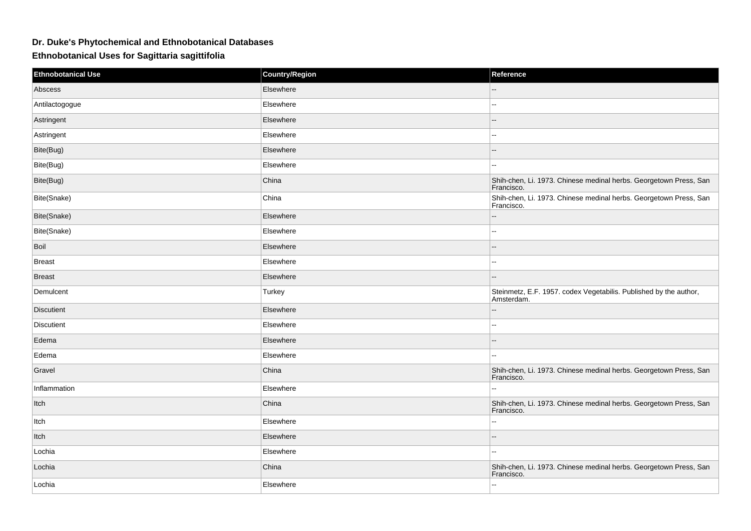## **Dr. Duke's Phytochemical and Ethnobotanical Databases**

## **Ethnobotanical Uses for Sagittaria sagittifolia**

| <b>Ethnobotanical Use</b> | <b>Country/Region</b> | Reference                                                                       |
|---------------------------|-----------------------|---------------------------------------------------------------------------------|
| Abscess                   | Elsewhere             |                                                                                 |
| Antilactogogue            | Elsewhere             | $-$                                                                             |
| Astringent                | Elsewhere             |                                                                                 |
| Astringent                | Elsewhere             | $\overline{a}$                                                                  |
| Bite(Bug)                 | Elsewhere             |                                                                                 |
| Bite(Bug)                 | Elsewhere             | $\sim$                                                                          |
| Bite(Bug)                 | China                 | Shih-chen, Li. 1973. Chinese medinal herbs. Georgetown Press, San<br>Francisco. |
| Bite(Snake)               | China                 | Shih-chen, Li. 1973. Chinese medinal herbs. Georgetown Press, San<br>Francisco. |
| Bite(Snake)               | Elsewhere             | $\sim$                                                                          |
| Bite(Snake)               | Elsewhere             | $\sim$                                                                          |
| Boil                      | Elsewhere             |                                                                                 |
| <b>Breast</b>             | Elsewhere             | $\sim$ $\sim$                                                                   |
| <b>Breast</b>             | Elsewhere             | $-$                                                                             |
| Demulcent                 | Turkey                | Steinmetz, E.F. 1957. codex Vegetabilis. Published by the author,<br>Amsterdam. |
| Discutient                | Elsewhere             |                                                                                 |
| <b>Discutient</b>         | Elsewhere             | ۵.                                                                              |
| Edema                     | Elsewhere             |                                                                                 |
| Edema                     | Elsewhere             | $\overline{a}$                                                                  |
| Gravel                    | China                 | Shih-chen, Li. 1973. Chinese medinal herbs. Georgetown Press, San<br>Francisco. |
| Inflammation              | Elsewhere             | $\sim$                                                                          |
| Itch                      | China                 | Shih-chen, Li. 1973. Chinese medinal herbs. Georgetown Press, San<br>Francisco. |
| Itch                      | Elsewhere             | $\sim$                                                                          |
| Itch                      | Elsewhere             |                                                                                 |
| Lochia                    | Elsewhere             | $\overline{\phantom{a}}$                                                        |
| Lochia                    | China                 | Shih-chen, Li. 1973. Chinese medinal herbs. Georgetown Press, San<br>Francisco. |
| Lochia                    | Elsewhere             | $\overline{\phantom{a}}$                                                        |